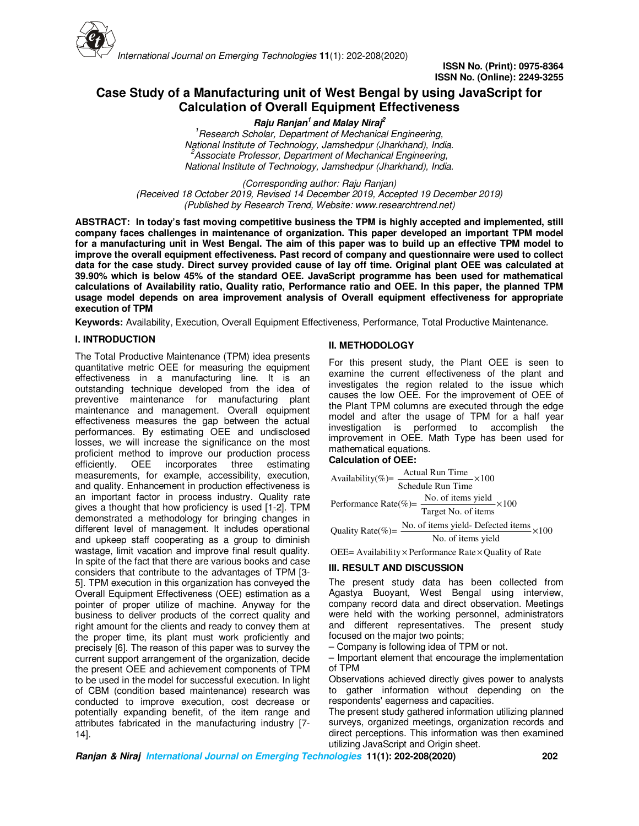

# **Case Study of a Manufacturing unit of West Bengal by using JavaScript for Calculation of Overall Equipment Effectiveness**

**Raju Ranjan<sup>1</sup>and Malay Niraj<sup>2</sup>**

*<sup>1</sup>Research Scholar, Department of Mechanical Engineering, National Institute of Technology, Jamshedpur (Jharkhand), India. <sup>2</sup>Associate Professor, Department of Mechanical Engineering, National Institute of Technology, Jamshedpur (Jharkhand), India.* 

*(Corresponding author: Raju Ranjan) (Received 18 October 2019, Revised 14 December 2019, Accepted 19 December 2019) (Published by Research Trend, Website: www.researchtrend.net)*

**ABSTRACT: In today's fast moving competitive business the TPM is highly accepted and implemented, still company faces challenges in maintenance of organization. This paper developed an important TPM model for a manufacturing unit in West Bengal. The aim of this paper was to build up an effective TPM model to improve the overall equipment effectiveness. Past record of company and questionnaire were used to collect data for the case study. Direct survey provided cause of lay off time. Original plant OEE was calculated at 39.90% which is below 45% of the standard OEE. JavaScript programme has been used for mathematical calculations of Availability ratio, Quality ratio, Performance ratio and OEE. In this paper, the planned TPM usage model depends on area improvement analysis of Overall equipment effectiveness for appropriate execution of TPM** 

**Keywords:** Availability, Execution, Overall Equipment Effectiveness, Performance, Total Productive Maintenance.

# **I. INTRODUCTION**

The Total Productive Maintenance (TPM) idea presents quantitative metric OEE for measuring the equipment effectiveness in a manufacturing line. It is an outstanding technique developed from the idea of preventive maintenance for manufacturing plant maintenance and management. Overall equipment effectiveness measures the gap between the actual performances. By estimating OEE and undisclosed losses, we will increase the significance on the most proficient method to improve our production process<br>efficiently. OEE incorporates three estimating three estimating measurements, for example, accessibility, execution, and quality. Enhancement in production effectiveness is an important factor in process industry. Quality rate gives a thought that how proficiency is used [1-2]. TPM demonstrated a methodology for bringing changes in different level of management. It includes operational and upkeep staff cooperating as a group to diminish wastage, limit vacation and improve final result quality. In spite of the fact that there are various books and case considers that contribute to the advantages of TPM [3- 5]. TPM execution in this organization has conveyed the Overall Equipment Effectiveness (OEE) estimation as a pointer of proper utilize of machine. Anyway for the business to deliver products of the correct quality and right amount for the clients and ready to convey them at the proper time, its plant must work proficiently and precisely [6]. The reason of this paper was to survey the current support arrangement of the organization, decide the present OEE and achievement components of TPM to be used in the model for successful execution. In light of CBM (condition based maintenance) research was conducted to improve execution, cost decrease or potentially expanding benefit, of the item range and attributes fabricated in the manufacturing industry [7- 14].

# **II. METHODOLOGY**

For this present study, the Plant OEE is seen to examine the current effectiveness of the plant and investigates the region related to the issue which causes the low OEE. For the improvement of OEE of the Plant TPM columns are executed through the edge model and after the usage of TPM for a half year investigation is performed to accomplish the improvement in OEE. Math Type has been used for mathematical equations.

#### **Calculation of OEE:**

Availability(%) = 
$$
\frac{\text{Actual Run Time}}{\text{Scheduled Run Time}} \times 100
$$

\nPerformance Rate(%) =  $\frac{\text{No. of items yield}}{\text{Target No. of items}} \times 100$ 

\nQuality Rate(%) =  $\frac{\text{No. of items yield}}{\text{No. of items yield}} \times 100$ 

\nNo. of items yield

OEE= Availability  $\times$  Performance Rate  $\times$  Quality of Rate

# **III. RESULT AND DISCUSSION**

The present study data has been collected from Agastya Buoyant, West Bengal using interview, company record data and direct observation. Meetings were held with the working personnel, administrators and different representatives. The present study focused on the major two points;

– Company is following idea of TPM or not.

– Important element that encourage the implementation of TPM

Observations achieved directly gives power to analysts to gather information without depending on the respondents' eagerness and capacities.

The present study gathered information utilizing planned surveys, organized meetings, organization records and direct perceptions. This information was then examined utilizing JavaScript and Origin sheet.

**Ranjan & Niraj International Journal on Emerging Technologies 11(1): 202-208(2020) 202**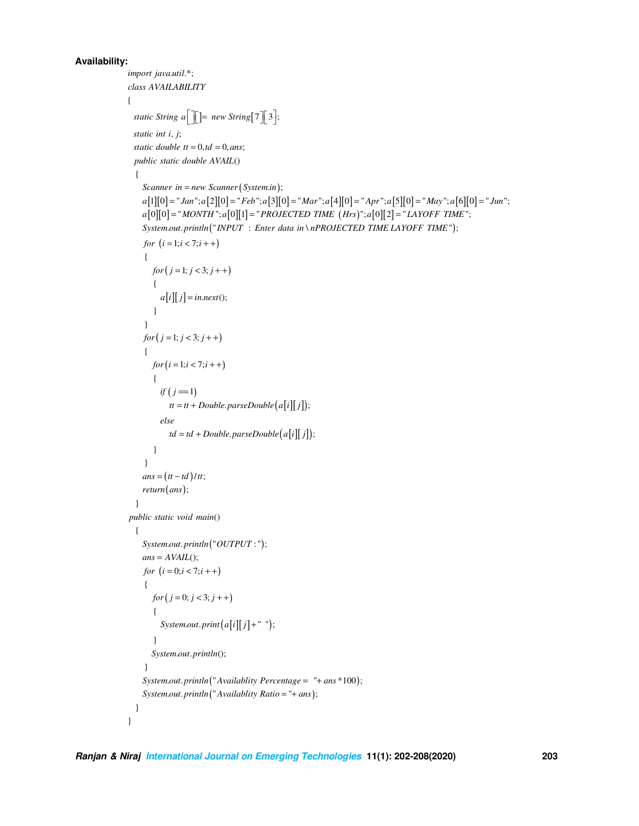## **Availability:**

```
import java.util.*;
class AVAILABILITY
\{static String a^{\fceil} = new String [7] [3];
 static int i, j;
 static double tt = 0, td = 0, ans;public static double AVAIL()
  \{Scanner in = new Scanner (System.in);
   a[1][0] = "Jan"; a[2][0] = "Feb"; a[3][0] = "Mar"; a[4][0] = "Apr"; a[5][0] = "May"; a[6][0] = "Jun";a[0][0] = "MONTH";a[0][1] = "PROJECTED TIME (Hrs)";a[0][2] = "LAYOFF TIME";
    System.out.println("INPUT: Enter data in \nPROJECTED TIME LAYOFF TIME");
    for (i = 1; i < 7; i++)\{for (j = 1; j < 3; j++)\left\{ \right.a[i][j] = in.next();\mathcal{E}\mathcal{E}for (j = 1; j < 3; j++)\left\{ \right.for (i = 1; i < 7; i++)\left\{ \right.if (j == 1)tt = tt + Double.parseDouble(a[i][j]);else
            td = td + Double.parseDouble(a[i][j]);\}\}ans = (tt - td) / tt;return (ans);\mathcal{E}public static void main()
  \{System.out.println("OUTPUT:");ans = AVAIL();for (i = 0; i < 7; i++)\{for (j = 0; j < 3; j++)\left\{ \right.System.out.print(a[i][j] + " ");\mathcal{E}System.out.println();
    \}System.out.println("Availablity Percentage = "+ ans *100);
    System.out.println("Availablity Ratio = "+ ans);
  \mathcal{E}\hspace{0.02cm}\}
```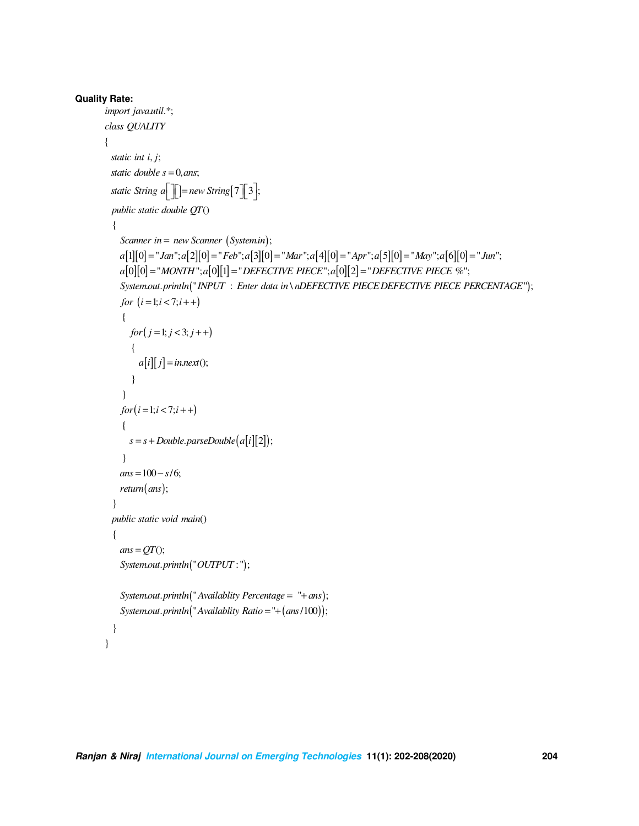```
Quality Rate:
       import java.util.*;
       class QUALITY
       \{static int i, j;
         static double s = 0, ans;
         static String a<sup>[</sup>] = new String [7] \frac{3}{3};
         public static double QT()\left\{ \right.Scanner in = new Scanner (System.in);
            a[1][0] = "Jan"; a[2][0] = "Feb"; a[3][0] = "Mar"; a[4][0] = "Apr"; a[5][0] = "May"; a[6][0] = "Jun";a[0][0] = "MONTH";a[0][1] = "DEFECTIVE PIECE";a[0][2] = "DEFECTIVE PIECE %";
            System.out.println("INPUT: Enter data in\nDEFECTIVE PIECE DEFECTIVE PIECE PERCENTAGE");
            for (i = 1; i < 7; i++)\{for (j = 1; j < 3; j++)\{a[i][j] =in.next();
               \left\{ \right\}\left\{ \right\}for(i = 1; i < 7; i++)\{s = s + Double.parseDouble(a[i][2]);\mathcal{E}ans = 100 - s/6;
            return (ans);\mathcal{E}public static void main()
          \{ans = QT;
            System.out.println("OUTPUT:");
            System.out.println("Availablity Percentage = "+ans);
            System.out.println("Availablity Ratio = "+ (ans/100));
          \}\mathcal{E}
```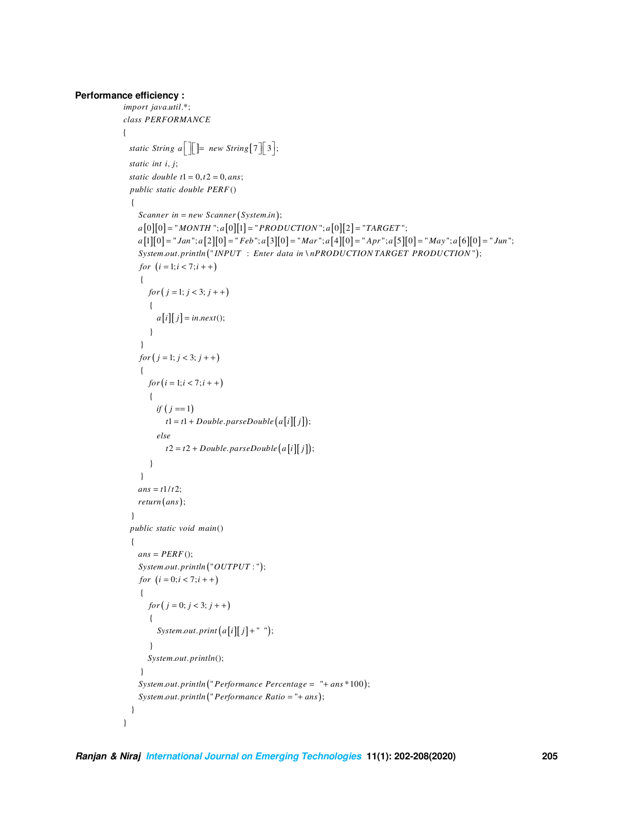#### **Performance efficiency:**

```
import java.util.*;
class PERFORMANCE
\{static String a \begin{bmatrix} 1 \\ 1 \end{bmatrix} = new String [7] \begin{bmatrix} 3 \\ 3 \end{bmatrix};static int i, j;
 static double t1 = 0, t2 = 0, ans;public static double PERF()
  \left\{ \right.Scanner in = new Scanner (System.in);
    a[0][0] = "MONTH"; a[0][1] = "PRODUCTION"; a[0][2] = "TARGE" ;a[1][0] = "Jan"; a[2][0] = "Feb"; a[3][0] = "Mar"; a[4][0] = "Apr"; a[5][0] = "May"; a[6][0] = "Jun";System.out.println("INPUT: Enter data in \nPRODUCTION TARGET PRODUCTION");
    for (i = 1; i < 7; i++)\{for (j = 1; j < 3; j++)\{a[i][j] = in.next();\}\}for (j = 1; j < 3; j++)\{for (i = 1; i < 7; i++)\{if (j == 1)t1 = t1 + Double.parseDouble(a[i][j]);elset2 = t2 + Double.parseDouble(a[i][j]);\mathcal{E}\left\{ \right\}ans = t1/t2;return (ans);\}public static void main()
  \left\{ \right.ans = PERF ();
    System.out.println("OUTPUT:");for (i = 0; i < 7; i++)\left\{ \right.for (j = 0; j < 3; j++)\{System.out.print (a[i][j] + " ");
       \}System.out.println();
     \}System.out.println("Performance Percentage = "+ ans *100);
    System.out.println("Performance Ratio = "+ ans);
  \}\}
```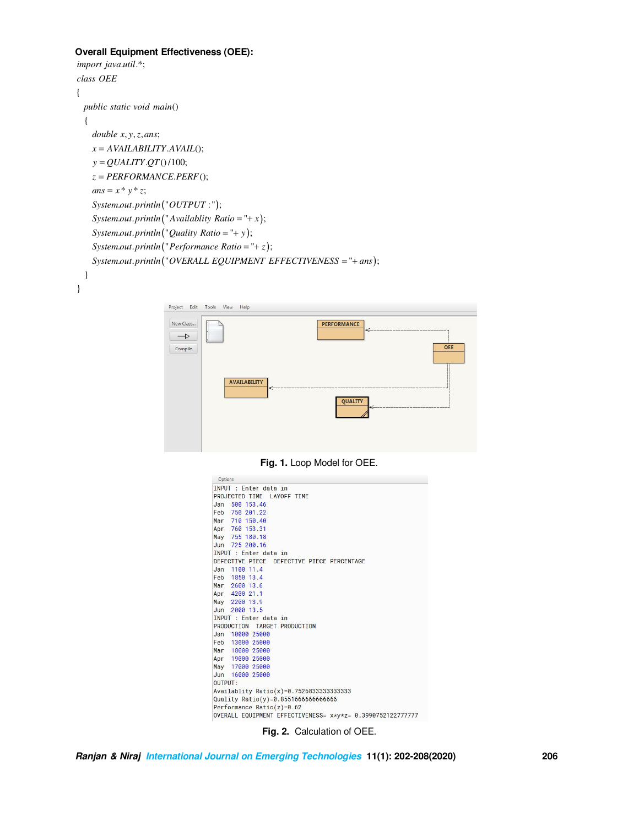## **Overall Equipment Effectiveness (OEE):**

```
import java.util.*;
class OEE
\{public static void main()
 \{double x, y, z, ans;x = AVAILABILITY.AVAL(;
   y = QUALITY.QT()/100;z = PERFORMANCE.PERF();
   ans = x * y * z;System.out.println("OUTPUT:");
   System.out.println("Availablity Ratio = "+ x);
   System.out.println("Quality Ratio = "+ y);
   System.out.println("Performance Ratio = "+ z);
   System.out.println("OVERALL EQUIPMENT EFFECTIVENESS = "+ ans);
  \}
```


| New Class<br>$\rightarrow$ |              | <b>PERFORMANCE</b> |     |
|----------------------------|--------------|--------------------|-----|
| Compile                    |              |                    | OEE |
| <b>AVAILABILITY</b>        | $\Leftarrow$ |                    |     |
|                            |              | QUALITY            |     |
|                            |              |                    |     |

Fig. 1. Loop Model for OEE.

| Options                                                    |
|------------------------------------------------------------|
| INPUT : Enter data in                                      |
| PROJECTED TIME LAYOFF TIME                                 |
| Jan 500 153.46                                             |
| Feb 750 201.22                                             |
| Mar 710 150.40                                             |
| Apr 760 153.31                                             |
| May 755 180.18                                             |
| Jun 725 200.16                                             |
| INPUT : Enter data in                                      |
| DEFECTIVE PIECE DEFECTIVE PIECE PERCENTAGE                 |
| Jan 1100 11.4                                              |
| Feb 1850 13.4                                              |
| Mar 2600 13.6                                              |
| Apr 4200 21.1                                              |
| May 2200 13.9                                              |
| Jun 2000 13.5                                              |
| TNPUT : Enter data in                                      |
| PRODUCTION TARGET PRODUCTION                               |
| Jan 10000 25000                                            |
| Feb 13000 25000                                            |
| Mar 18000 25000                                            |
| Apr 19000 25000                                            |
| May 17000 25000                                            |
| Jun 16000 25000                                            |
| <b>OUTPUT:</b>                                             |
| Availablity Ratio(x)=0.75268333333333333                   |
| Quality $Ratio(y) = 0.85516666666666666$                   |
| Performance Ratio(z)= $0.62$                               |
| OVERALL EQUIPMENT EFFECTIVENESS= x*y*z= 0.3990752122777777 |
|                                                            |

Fig. 2. Calculation of OEE.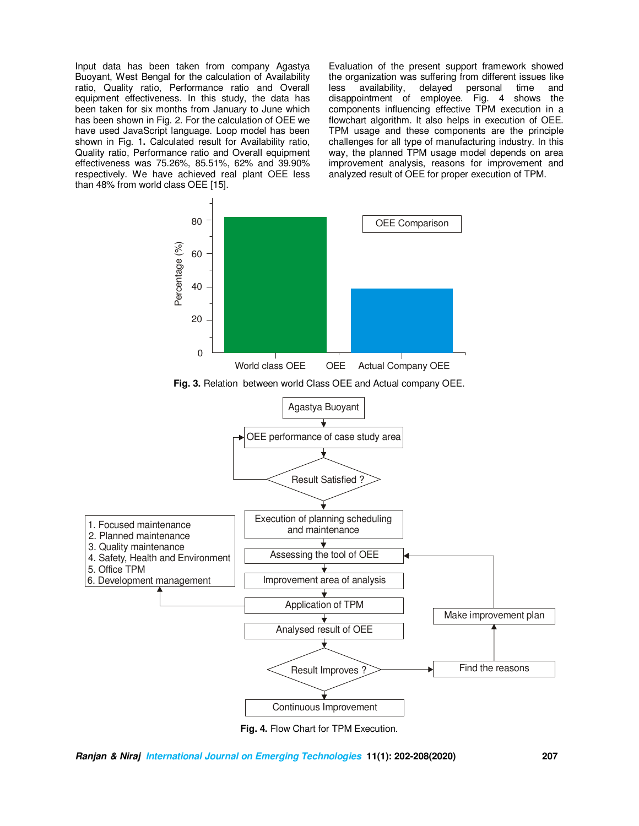Input data has been taken from company Agastya Buoyant, West Bengal for the calculation of Availability ratio, Quality ratio, Performance ratio and Overall equipment effectiveness. In this study, the data has been taken for six months from January to June which has been shown in Fig. 2. For the calculation of OEE we have used JavaScript language. Loop model has been shown in Fig. 1**.** Calculated result for Availability ratio, Quality ratio, Performance ratio and Overall equipment effectiveness was 75.26%, 85.51%, 62% and 39.90% respectively. We have achieved real plant OEE less than 48% from world class OEE [15].

Evaluation of the present support framework showed the organization was suffering from different issues like less availability, delayed personal time and disappointment of employee. Fig. 4 shows the components influencing effective TPM execution in a flowchart algorithm. It also helps in execution of OEE. TPM usage and these components are the principle challenges for all type of manufacturing industry. In this way, the planned TPM usage model depends on area improvement analysis, reasons for improvement and analyzed result of OEE for proper execution of TPM.



**Fig. 4.** Flow Chart for TPM Execution.

**Ranjan & Niraj International Journal on Emerging Technologies 11(1): 202-208(2020) 207**